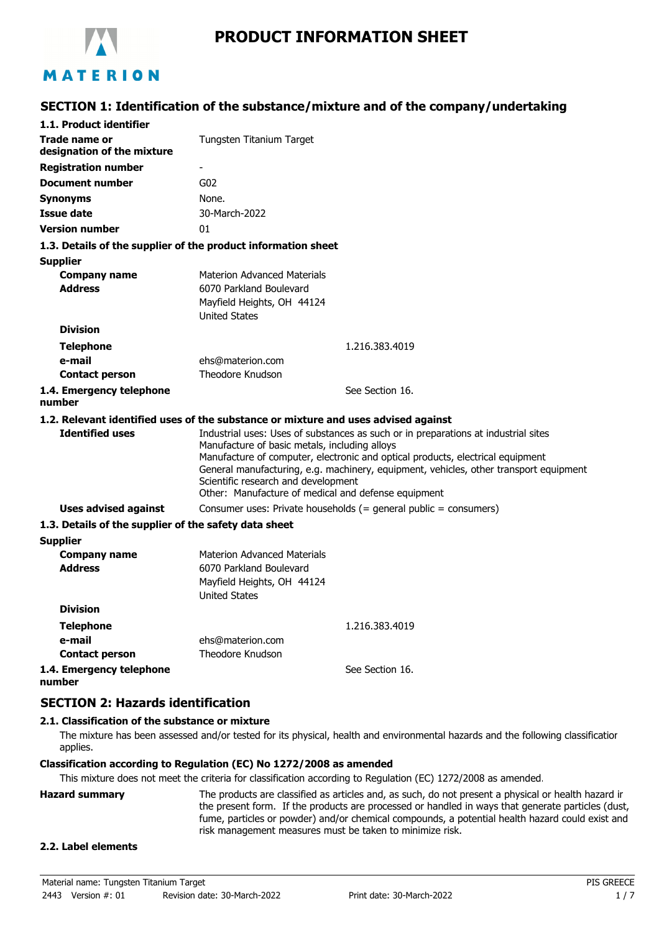

## **SECTION 1: Identification of the substance/mixture and of the company/undertaking**

| 1.1. Product identifier                                                            |                                                                                                                                                                                                                                                                                                                                                                                                              |                                                                  |
|------------------------------------------------------------------------------------|--------------------------------------------------------------------------------------------------------------------------------------------------------------------------------------------------------------------------------------------------------------------------------------------------------------------------------------------------------------------------------------------------------------|------------------------------------------------------------------|
| Trade name or<br>designation of the mixture                                        | Tungsten Titanium Target                                                                                                                                                                                                                                                                                                                                                                                     |                                                                  |
| <b>Registration number</b>                                                         | ٠                                                                                                                                                                                                                                                                                                                                                                                                            |                                                                  |
| <b>Document number</b>                                                             | G <sub>02</sub>                                                                                                                                                                                                                                                                                                                                                                                              |                                                                  |
| <b>Synonyms</b>                                                                    | None.                                                                                                                                                                                                                                                                                                                                                                                                        |                                                                  |
| <b>Issue date</b>                                                                  | 30-March-2022                                                                                                                                                                                                                                                                                                                                                                                                |                                                                  |
| <b>Version number</b>                                                              | 01                                                                                                                                                                                                                                                                                                                                                                                                           |                                                                  |
| 1.3. Details of the supplier of the product information sheet                      |                                                                                                                                                                                                                                                                                                                                                                                                              |                                                                  |
| <b>Supplier</b>                                                                    |                                                                                                                                                                                                                                                                                                                                                                                                              |                                                                  |
| <b>Company name</b><br><b>Address</b>                                              | <b>Materion Advanced Materials</b><br>6070 Parkland Boulevard<br>Mayfield Heights, OH 44124<br><b>United States</b>                                                                                                                                                                                                                                                                                          |                                                                  |
| <b>Division</b>                                                                    |                                                                                                                                                                                                                                                                                                                                                                                                              |                                                                  |
| <b>Telephone</b>                                                                   |                                                                                                                                                                                                                                                                                                                                                                                                              | 1.216.383.4019                                                   |
| e-mail                                                                             | ehs@materion.com                                                                                                                                                                                                                                                                                                                                                                                             |                                                                  |
| <b>Contact person</b>                                                              | Theodore Knudson                                                                                                                                                                                                                                                                                                                                                                                             |                                                                  |
| 1.4. Emergency telephone<br>number                                                 |                                                                                                                                                                                                                                                                                                                                                                                                              | See Section 16.                                                  |
| 1.2. Relevant identified uses of the substance or mixture and uses advised against |                                                                                                                                                                                                                                                                                                                                                                                                              |                                                                  |
| <b>Identified uses</b>                                                             | Industrial uses: Uses of substances as such or in preparations at industrial sites<br>Manufacture of basic metals, including alloys<br>Manufacture of computer, electronic and optical products, electrical equipment<br>General manufacturing, e.g. machinery, equipment, vehicles, other transport equipment<br>Scientific research and development<br>Other: Manufacture of medical and defense equipment |                                                                  |
| Uses advised against                                                               |                                                                                                                                                                                                                                                                                                                                                                                                              | Consumer uses: Private households (= general public = consumers) |
| 1.3. Details of the supplier of the safety data sheet                              |                                                                                                                                                                                                                                                                                                                                                                                                              |                                                                  |
| <b>Supplier</b>                                                                    |                                                                                                                                                                                                                                                                                                                                                                                                              |                                                                  |
| <b>Company name</b><br><b>Address</b>                                              | <b>Materion Advanced Materials</b><br>6070 Parkland Boulevard<br>Mayfield Heights, OH 44124<br><b>United States</b>                                                                                                                                                                                                                                                                                          |                                                                  |
| <b>Division</b>                                                                    |                                                                                                                                                                                                                                                                                                                                                                                                              |                                                                  |
| <b>Telephone</b>                                                                   |                                                                                                                                                                                                                                                                                                                                                                                                              | 1.216.383.4019                                                   |
| e-mail                                                                             | ehs@materion.com                                                                                                                                                                                                                                                                                                                                                                                             |                                                                  |
| <b>Contact person</b>                                                              | Theodore Knudson                                                                                                                                                                                                                                                                                                                                                                                             |                                                                  |
| 1.4. Emergency telephone<br>number                                                 |                                                                                                                                                                                                                                                                                                                                                                                                              | See Section 16.                                                  |

### **SECTION 2: Hazards identification**

#### **2.1. Classification of the substance or mixture**

The mixture has been assessed and/or tested for its physical, health and environmental hazards and the following classification applies.

#### **Classification according to Regulation (EC) No 1272/2008 as amended**

This mixture does not meet the criteria for classification according to Regulation (EC) 1272/2008 as amended.

**Hazard summary** The products are classified as articles and, as such, do not present a physical or health hazard in the present form. If the products are processed or handled in ways that generate particles (dust, fume, particles or powder) and/or chemical compounds, a potential health hazard could exist and risk management measures must be taken to minimize risk.

#### **2.2. Label elements**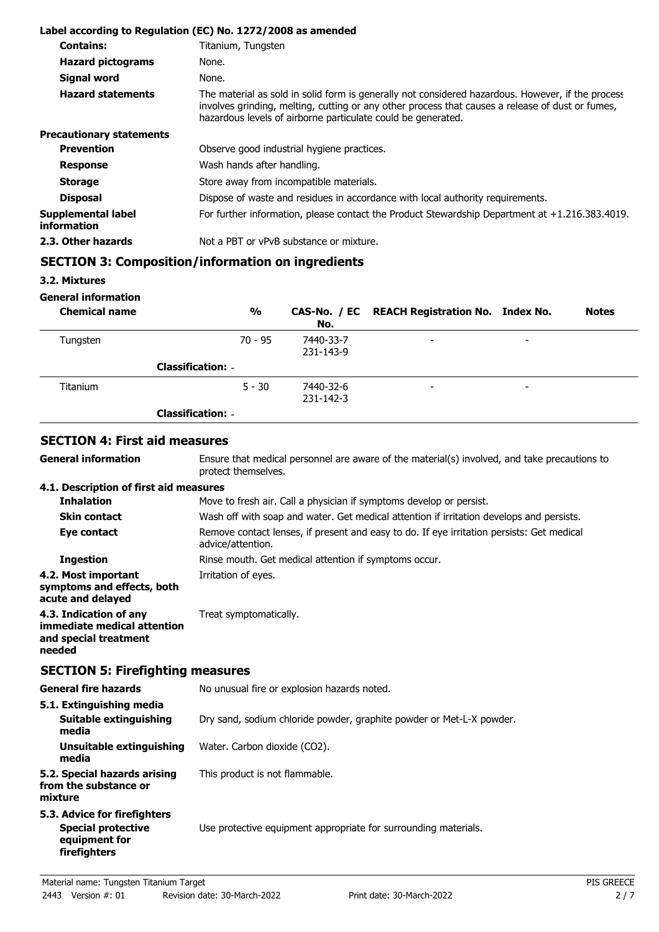|                                          | Label according to Regulation (EC) No. 1272/2008 as amended                                                                                                                                                                                                           |
|------------------------------------------|-----------------------------------------------------------------------------------------------------------------------------------------------------------------------------------------------------------------------------------------------------------------------|
| <b>Contains:</b>                         | Titanium, Tungsten                                                                                                                                                                                                                                                    |
| <b>Hazard pictograms</b>                 | None.                                                                                                                                                                                                                                                                 |
| <b>Signal word</b>                       | None.                                                                                                                                                                                                                                                                 |
| <b>Hazard statements</b>                 | The material as sold in solid form is generally not considered hazardous. However, if the process<br>involves grinding, melting, cutting or any other process that causes a release of dust or fumes,<br>hazardous levels of airborne particulate could be generated. |
| <b>Precautionary statements</b>          |                                                                                                                                                                                                                                                                       |
| <b>Prevention</b>                        | Observe good industrial hygiene practices.                                                                                                                                                                                                                            |
| <b>Response</b>                          | Wash hands after handling.                                                                                                                                                                                                                                            |
| <b>Storage</b>                           | Store away from incompatible materials.                                                                                                                                                                                                                               |
| <b>Disposal</b>                          | Dispose of waste and residues in accordance with local authority requirements.                                                                                                                                                                                        |
| Supplemental label<br><i>information</i> | For further information, please contact the Product Stewardship Department at $+1.216.383.4019$ .                                                                                                                                                                     |
| 2.3. Other hazards                       | Not a PBT or vPvB substance or mixture.                                                                                                                                                                                                                               |

## **SECTION 3: Composition/information on ingredients**

**3.2. Mixtures**

**General information**

**General information**

| <b>Chemical name</b> | $\frac{0}{0}$            | No.                    | CAS-No. / EC REACH Registration No. Index No. |                          | <b>Notes</b> |
|----------------------|--------------------------|------------------------|-----------------------------------------------|--------------------------|--------------|
| Tungsten             | $70 - 95$                | 7440-33-7<br>231-143-9 | $\overline{\phantom{0}}$                      | $\overline{\phantom{0}}$ |              |
|                      | <b>Classification: -</b> |                        |                                               |                          |              |
| <b>Titanium</b>      | $5 - 30$                 | 7440-32-6<br>231-142-3 | $\overline{\phantom{0}}$                      | -                        |              |
|                      | <b>Classification: -</b> |                        |                                               |                          |              |

### **SECTION 4: First aid measures**

Ensure that medical personnel are aware of the material(s) involved, and take precautions to protect themselves.

#### **4.1. Description of first aid measures**

| <b>Inhalation</b>                                                                        | Move to fresh air. Call a physician if symptoms develop or persist.                                            |
|------------------------------------------------------------------------------------------|----------------------------------------------------------------------------------------------------------------|
| <b>Skin contact</b>                                                                      | Wash off with soap and water. Get medical attention if irritation develops and persists.                       |
| Eye contact                                                                              | Remove contact lenses, if present and easy to do. If eye irritation persists: Get medical<br>advice/attention. |
| <b>Ingestion</b>                                                                         | Rinse mouth. Get medical attention if symptoms occur.                                                          |
| 4.2. Most important<br>symptoms and effects, both<br>acute and delayed                   | Irritation of eyes.                                                                                            |
| 4.3. Indication of any<br>immediate medical attention<br>and special treatment<br>needed | Treat symptomatically.                                                                                         |

## **SECTION 5: Firefighting measures**

| General fire hazards                                                                       | No unusual fire or explosion hazards noted.                          |  |
|--------------------------------------------------------------------------------------------|----------------------------------------------------------------------|--|
| 5.1. Extinguishing media<br>Suitable extinguishing<br>media                                | Dry sand, sodium chloride powder, graphite powder or Met-L-X powder. |  |
| Unsuitable extinguishing<br>media                                                          | Water. Carbon dioxide (CO2).                                         |  |
| 5.2. Special hazards arising<br>from the substance or<br>mixture                           | This product is not flammable.                                       |  |
| 5.3. Advice for firefighters<br><b>Special protective</b><br>equipment for<br>firefighters | Use protective equipment appropriate for surrounding materials.      |  |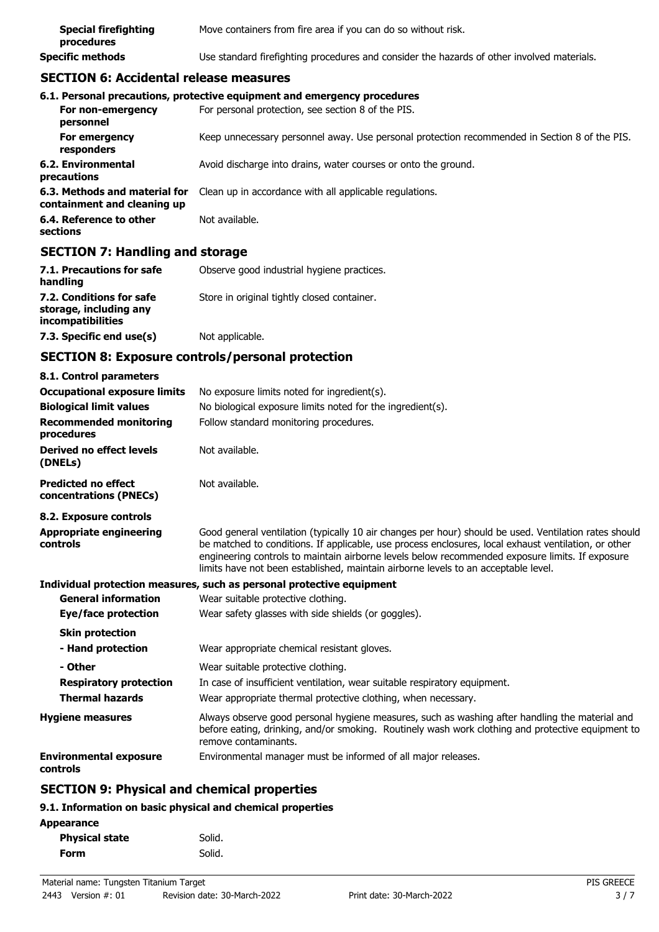| <b>Special firefighting</b><br>procedures | Move containers from fire area if you can do so without risk.                              |
|-------------------------------------------|--------------------------------------------------------------------------------------------|
| <b>Specific methods</b>                   | Use standard firefighting procedures and consider the hazards of other involved materials. |

## **SECTION 6: Accidental release measures**

|                                                              | 6.1. Personal precautions, protective equipment and emergency procedures                      |
|--------------------------------------------------------------|-----------------------------------------------------------------------------------------------|
| For non-emergency<br>personnel                               | For personal protection, see section 8 of the PIS.                                            |
| For emergency<br>responders                                  | Keep unnecessary personnel away. Use personal protection recommended in Section 8 of the PIS. |
| 6.2. Environmental<br>precautions                            | Avoid discharge into drains, water courses or onto the ground.                                |
| 6.3. Methods and material for<br>containment and cleaning up | Clean up in accordance with all applicable regulations.                                       |
| 6.4. Reference to other<br>sections                          | Not available.                                                                                |

## **SECTION 7: Handling and storage**

| 7.1. Precautions for safe<br>handling                                   | Observe good industrial hygiene practices.  |
|-------------------------------------------------------------------------|---------------------------------------------|
| 7.2. Conditions for safe<br>storage, including any<br>incompatibilities | Store in original tightly closed container. |
| 7.3. Specific end use(s)                                                | Not applicable.                             |

## **SECTION 8: Exposure controls/personal protection**

| 8.1. Control parameters                              |                                                                                                                                                                                                                                                                                                                                                                                                        |
|------------------------------------------------------|--------------------------------------------------------------------------------------------------------------------------------------------------------------------------------------------------------------------------------------------------------------------------------------------------------------------------------------------------------------------------------------------------------|
| <b>Occupational exposure limits</b>                  | No exposure limits noted for ingredient(s).                                                                                                                                                                                                                                                                                                                                                            |
| <b>Biological limit values</b>                       | No biological exposure limits noted for the ingredient(s).                                                                                                                                                                                                                                                                                                                                             |
| <b>Recommended monitoring</b><br>procedures          | Follow standard monitoring procedures.                                                                                                                                                                                                                                                                                                                                                                 |
| Derived no effect levels<br>(DNELs)                  | Not available.                                                                                                                                                                                                                                                                                                                                                                                         |
| <b>Predicted no effect</b><br>concentrations (PNECs) | Not available.                                                                                                                                                                                                                                                                                                                                                                                         |
| 8.2. Exposure controls                               |                                                                                                                                                                                                                                                                                                                                                                                                        |
| Appropriate engineering<br>controls                  | Good general ventilation (typically 10 air changes per hour) should be used. Ventilation rates should<br>be matched to conditions. If applicable, use process enclosures, local exhaust ventilation, or other<br>engineering controls to maintain airborne levels below recommended exposure limits. If exposure<br>limits have not been established, maintain airborne levels to an acceptable level. |
|                                                      | Individual protection measures, such as personal protective equipment                                                                                                                                                                                                                                                                                                                                  |
| <b>General information</b>                           | Wear suitable protective clothing.                                                                                                                                                                                                                                                                                                                                                                     |
| Eye/face protection                                  | Wear safety glasses with side shields (or goggles).                                                                                                                                                                                                                                                                                                                                                    |
| <b>Skin protection</b>                               |                                                                                                                                                                                                                                                                                                                                                                                                        |
| - Hand protection                                    | Wear appropriate chemical resistant gloves.                                                                                                                                                                                                                                                                                                                                                            |
| - Other                                              | Wear suitable protective clothing.                                                                                                                                                                                                                                                                                                                                                                     |
| <b>Respiratory protection</b>                        | In case of insufficient ventilation, wear suitable respiratory equipment.                                                                                                                                                                                                                                                                                                                              |
| <b>Thermal hazards</b>                               | Wear appropriate thermal protective clothing, when necessary.                                                                                                                                                                                                                                                                                                                                          |
| <b>Hygiene measures</b>                              | Always observe good personal hygiene measures, such as washing after handling the material and<br>before eating, drinking, and/or smoking. Routinely wash work clothing and protective equipment to<br>remove contaminants.                                                                                                                                                                            |
| <b>Environmental exposure</b><br>controls            | Environmental manager must be informed of all major releases.                                                                                                                                                                                                                                                                                                                                          |
| <b>SECTION 9: Physical and chemical properties</b>   |                                                                                                                                                                                                                                                                                                                                                                                                        |

## **9.1. Information on basic physical and chemical properties**

| . .<br><b>Physical state</b> | Solid. |
|------------------------------|--------|
| Form                         | Solid. |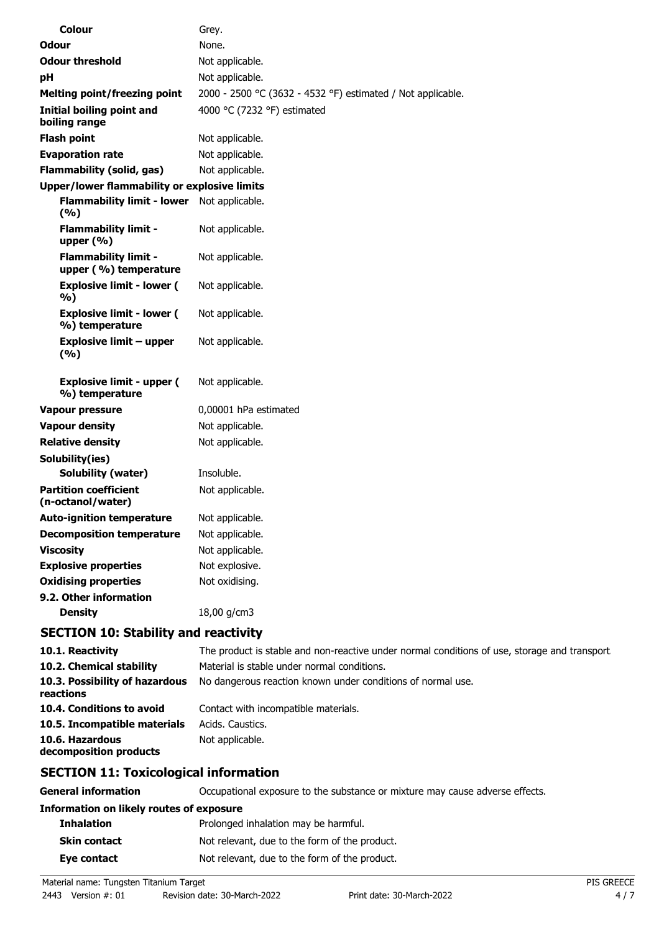| Colour                                               | Grey.                                                       |
|------------------------------------------------------|-------------------------------------------------------------|
| Odour                                                | None.                                                       |
| <b>Odour threshold</b>                               | Not applicable.                                             |
| pH                                                   | Not applicable.                                             |
| <b>Melting point/freezing point</b>                  | 2000 - 2500 °C (3632 - 4532 °F) estimated / Not applicable. |
| <b>Initial boiling point and</b><br>boiling range    | 4000 °C (7232 °F) estimated                                 |
| <b>Flash point</b>                                   | Not applicable.                                             |
| <b>Evaporation rate</b>                              | Not applicable.                                             |
| <b>Flammability (solid, gas)</b>                     | Not applicable.                                             |
| <b>Upper/lower flammability or explosive limits</b>  |                                                             |
| Flammability limit - lower Not applicable.<br>(%)    |                                                             |
| <b>Flammability limit -</b><br>upper $(\% )$         | Not applicable.                                             |
| <b>Flammability limit -</b><br>upper (%) temperature | Not applicable.                                             |
| <b>Explosive limit - lower (</b><br>%)               | Not applicable.                                             |
| <b>Explosive limit - lower (</b><br>%) temperature   | Not applicable.                                             |
| <b>Explosive limit - upper</b><br>(9/6)              | Not applicable.                                             |
| <b>Explosive limit - upper (</b><br>%) temperature   | Not applicable.                                             |
| <b>Vapour pressure</b>                               | 0,00001 hPa estimated                                       |
| <b>Vapour density</b>                                | Not applicable.                                             |
| <b>Relative density</b>                              | Not applicable.                                             |
| Solubility(ies)                                      |                                                             |
| <b>Solubility (water)</b>                            | Insoluble.                                                  |
| <b>Partition coefficient</b><br>(n-octanol/water)    | Not applicable.                                             |
| <b>Auto-ignition temperature</b>                     | Not applicable.                                             |
| <b>Decomposition temperature</b>                     | Not applicable.                                             |
| <b>Viscosity</b>                                     | Not applicable.                                             |
| <b>Explosive properties</b>                          | Not explosive.                                              |
| <b>Oxidising properties</b>                          | Not oxidising.                                              |
| 9.2. Other information<br><b>Density</b>             | 18,00 g/cm3                                                 |
| <b>SECTION 10: Stability and reactivity</b>          |                                                             |
|                                                      |                                                             |

| 10.1. Reactivity                            | The product is stable and non-reactive under normal conditions of use, storage and transport. |
|---------------------------------------------|-----------------------------------------------------------------------------------------------|
| 10.2. Chemical stability                    | Material is stable under normal conditions.                                                   |
| 10.3. Possibility of hazardous<br>reactions | No dangerous reaction known under conditions of normal use.                                   |
| 10.4. Conditions to avoid                   | Contact with incompatible materials.                                                          |
| 10.5. Incompatible materials                | Acids, Caustics,                                                                              |
| 10.6. Hazardous<br>decomposition products   | Not applicable.                                                                               |

# **SECTION 11: Toxicological information**

**General information CCCUPATION** Occupational exposure to the substance or mixture may cause adverse effects.

| Information on likely routes of exposure |                                               |
|------------------------------------------|-----------------------------------------------|
| <b>Inhalation</b>                        | Prolonged inhalation may be harmful.          |
| <b>Skin contact</b>                      | Not relevant, due to the form of the product. |
| Eye contact                              | Not relevant, due to the form of the product. |
|                                          |                                               |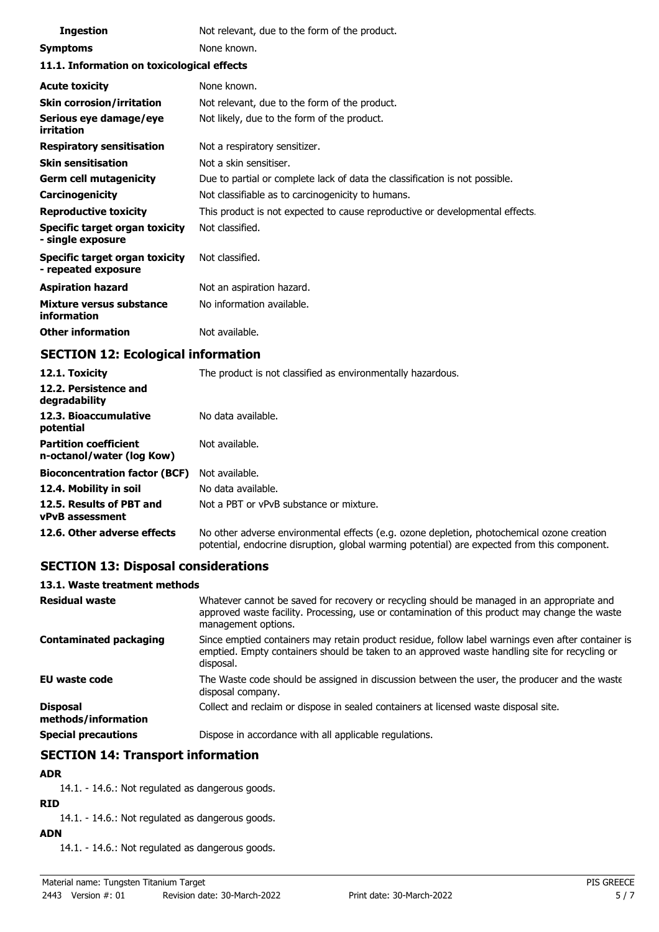| <b>Ingestion</b>                                      | Not relevant, due to the form of the product.                                |  |
|-------------------------------------------------------|------------------------------------------------------------------------------|--|
| <b>Symptoms</b>                                       | None known.                                                                  |  |
| 11.1. Information on toxicological effects            |                                                                              |  |
| <b>Acute toxicity</b>                                 | None known.                                                                  |  |
| <b>Skin corrosion/irritation</b>                      | Not relevant, due to the form of the product.                                |  |
| Serious eye damage/eye<br>irritation                  | Not likely, due to the form of the product.                                  |  |
| <b>Respiratory sensitisation</b>                      | Not a respiratory sensitizer.                                                |  |
| <b>Skin sensitisation</b>                             | Not a skin sensitiser.                                                       |  |
| <b>Germ cell mutagenicity</b>                         | Due to partial or complete lack of data the classification is not possible.  |  |
| Carcinogenicity                                       | Not classifiable as to carcinogenicity to humans.                            |  |
| <b>Reproductive toxicity</b>                          | This product is not expected to cause reproductive or developmental effects. |  |
| Specific target organ toxicity<br>- single exposure   | Not classified.                                                              |  |
| Specific target organ toxicity<br>- repeated exposure | Not classified.                                                              |  |
| <b>Aspiration hazard</b>                              | Not an aspiration hazard.                                                    |  |
| Mixture versus substance<br>information               | No information available.                                                    |  |
| <b>Other information</b>                              | Not available.                                                               |  |

## **SECTION 12: Ecological information**

| 12.1. Toxicity<br>12.2. Persistence and<br>degradability  | The product is not classified as environmentally hazardous.                                                                                                                                |
|-----------------------------------------------------------|--------------------------------------------------------------------------------------------------------------------------------------------------------------------------------------------|
| 12.3. Bioaccumulative<br>potential                        | No data available.                                                                                                                                                                         |
| <b>Partition coefficient</b><br>n-octanol/water (log Kow) | Not available.                                                                                                                                                                             |
| <b>Bioconcentration factor (BCF)</b>                      | Not available.                                                                                                                                                                             |
| 12.4. Mobility in soil                                    | No data available.                                                                                                                                                                         |
| 12.5. Results of PBT and<br><b>vPvB</b> assessment        | Not a PBT or vPvB substance or mixture.                                                                                                                                                    |
| 12.6. Other adverse effects                               | No other adverse environmental effects (e.g. ozone depletion, photochemical ozone creation<br>potential, endocrine disruption, global warming potential) are expected from this component. |

## **SECTION 13: Disposal considerations**

#### **13.1. Waste treatment methods**

| <b>Residual waste</b>                  | Whatever cannot be saved for recovery or recycling should be managed in an appropriate and<br>approved waste facility. Processing, use or contamination of this product may change the waste<br>management options. |
|----------------------------------------|---------------------------------------------------------------------------------------------------------------------------------------------------------------------------------------------------------------------|
| <b>Contaminated packaging</b>          | Since emptied containers may retain product residue, follow label warnings even after container is<br>emptied. Empty containers should be taken to an approved waste handling site for recycling or<br>disposal.    |
| <b>EU</b> waste code                   | The Waste code should be assigned in discussion between the user, the producer and the waste<br>disposal company.                                                                                                   |
| <b>Disposal</b><br>methods/information | Collect and reclaim or dispose in sealed containers at licensed waste disposal site.                                                                                                                                |
| <b>Special precautions</b>             | Dispose in accordance with all applicable regulations.                                                                                                                                                              |

## **SECTION 14: Transport information**

## **ADR**

14.1. - 14.6.: Not regulated as dangerous goods.

## **RID**

14.1. - 14.6.: Not regulated as dangerous goods.

## **ADN**

14.1. - 14.6.: Not regulated as dangerous goods.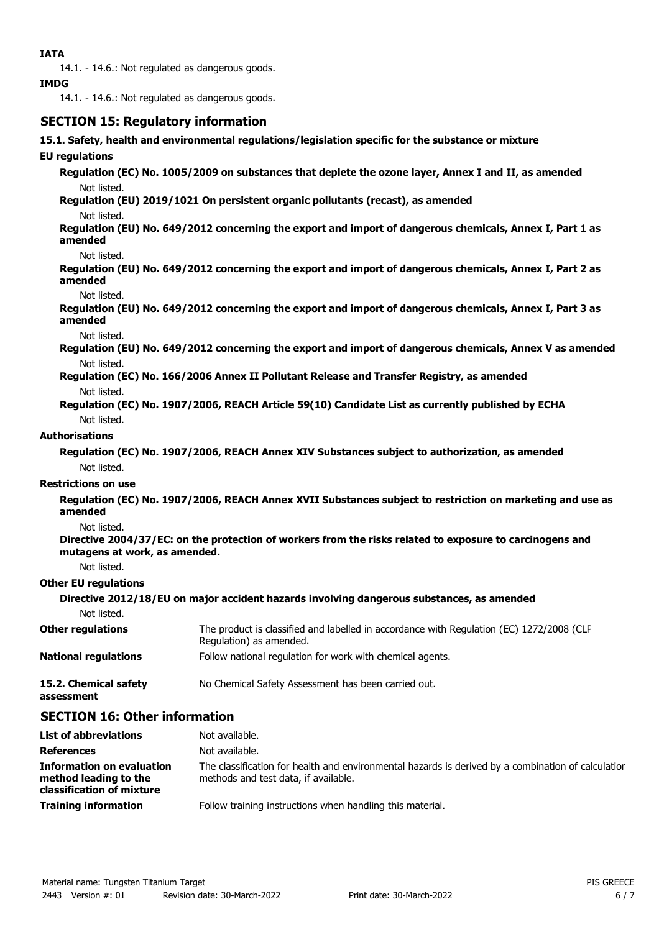14.1. - 14.6.: Not regulated as dangerous goods.

#### **IMDG**

14.1. - 14.6.: Not regulated as dangerous goods.

## **SECTION 15: Regulatory information**

**15.1. Safety, health and environmental regulations/legislation specific for the substance or mixture**

#### **EU regulations**

**Regulation (EC) No. 1005/2009 on substances that deplete the ozone layer, Annex I and II, as amended** Not listed.

**Regulation (EU) 2019/1021 On persistent organic pollutants (recast), as amended** Not listed.

**Regulation (EU) No. 649/2012 concerning the export and import of dangerous chemicals, Annex I, Part 1 as amended**

Not listed.

**Regulation (EU) No. 649/2012 concerning the export and import of dangerous chemicals, Annex I, Part 2 as amended**

#### Not listed.

**Regulation (EU) No. 649/2012 concerning the export and import of dangerous chemicals, Annex I, Part 3 as amended**

Not listed.

**Regulation (EU) No. 649/2012 concerning the export and import of dangerous chemicals, Annex V as amended** Not listed.

- **Regulation (EC) No. 166/2006 Annex II Pollutant Release and Transfer Registry, as amended** Not listed.
- **Regulation (EC) No. 1907/2006, REACH Article 59(10) Candidate List as currently published by ECHA** Not listed.

#### **Authorisations**

**Regulation (EC) No. 1907/2006, REACH Annex XIV Substances subject to authorization, as amended** Not listed.

#### **Restrictions on use**

**Regulation (EC) No. 1907/2006, REACH Annex XVII Substances subject to restriction on marketing and use as amended**

Not listed.

**Directive 2004/37/EC: on the protection of workers from the risks related to exposure to carcinogens and mutagens at work, as amended.**

Not listed.

#### **Other EU regulations**

**Directive 2012/18/EU on major accident hazards involving dangerous substances, as amended**

Not listed.

| <b>Other regulations</b>    | The product is classified and labelled in accordance with Regulation (EC) 1272/2008 (CLP<br>Regulation) as amended. |
|-----------------------------|---------------------------------------------------------------------------------------------------------------------|
| <b>National regulations</b> | Follow national regulation for work with chemical agents.                                                           |
| 15.2. Chemical safety       | No Chemical Safety Assessment has been carried out.                                                                 |

# **assessment**

## **SECTION 16: Other information**

| <b>List of abbreviations</b>                                                    | Not available.                                                                                                                             |
|---------------------------------------------------------------------------------|--------------------------------------------------------------------------------------------------------------------------------------------|
| <b>References</b>                                                               | Not available.                                                                                                                             |
| Information on evaluation<br>method leading to the<br>classification of mixture | The classification for health and environmental hazards is derived by a combination of calculation<br>methods and test data, if available. |
| <b>Training information</b>                                                     | Follow training instructions when handling this material.                                                                                  |